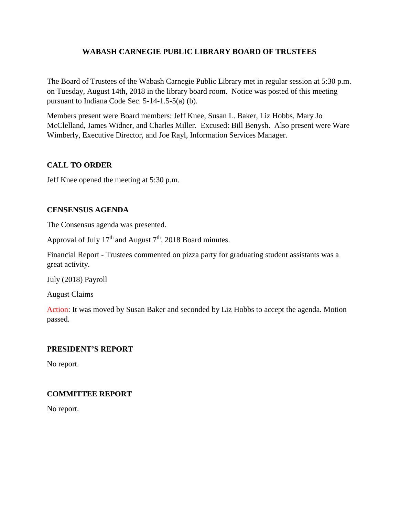## **WABASH CARNEGIE PUBLIC LIBRARY BOARD OF TRUSTEES**

The Board of Trustees of the Wabash Carnegie Public Library met in regular session at 5:30 p.m. on Tuesday, August 14th, 2018 in the library board room. Notice was posted of this meeting pursuant to Indiana Code Sec. 5-14-1.5-5(a) (b).

Members present were Board members: Jeff Knee, Susan L. Baker, Liz Hobbs, Mary Jo McClelland, James Widner, and Charles Miller. Excused: Bill Benysh. Also present were Ware Wimberly, Executive Director, and Joe Rayl, Information Services Manager.

# **CALL TO ORDER**

Jeff Knee opened the meeting at 5:30 p.m.

## **CENSENSUS AGENDA**

The Consensus agenda was presented.

Approval of July  $17<sup>th</sup>$  and August  $7<sup>th</sup>$ , 2018 Board minutes.

Financial Report - Trustees commented on pizza party for graduating student assistants was a great activity.

July (2018) Payroll

August Claims

Action: It was moved by Susan Baker and seconded by Liz Hobbs to accept the agenda. Motion passed.

## **PRESIDENT'S REPORT**

No report.

## **COMMITTEE REPORT**

No report.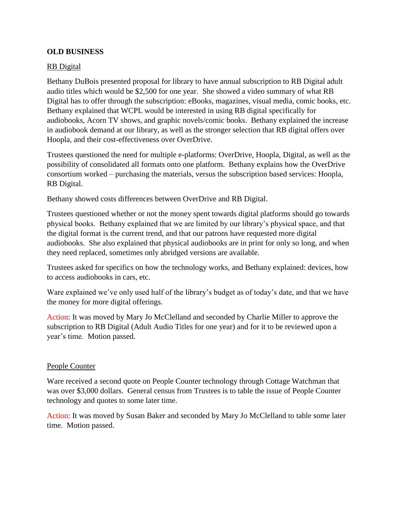## **OLD BUSINESS**

### RB Digital

Bethany DuBois presented proposal for library to have annual subscription to RB Digital adult audio titles which would be \$2,500 for one year. She showed a video summary of what RB Digital has to offer through the subscription: eBooks, magazines, visual media, comic books, etc. Bethany explained that WCPL would be interested in using RB digital specifically for audiobooks, Acorn TV shows, and graphic novels/comic books. Bethany explained the increase in audiobook demand at our library, as well as the stronger selection that RB digital offers over Hoopla, and their cost-effectiveness over OverDrive.

Trustees questioned the need for multiple e-platforms: OverDrive, Hoopla, Digital, as well as the possibility of consolidated all formats onto one platform. Bethany explains how the OverDrive consortium worked – purchasing the materials, versus the subscription based services: Hoopla, RB Digital.

Bethany showed costs differences between OverDrive and RB Digital.

Trustees questioned whether or not the money spent towards digital platforms should go towards physical books. Bethany explained that we are limited by our library's physical space, and that the digital format is the current trend, and that our patrons have requested more digital audiobooks. She also explained that physical audiobooks are in print for only so long, and when they need replaced, sometimes only abridged versions are available.

Trustees asked for specifics on how the technology works, and Bethany explained: devices, how to access audiobooks in cars, etc.

Ware explained we've only used half of the library's budget as of today's date, and that we have the money for more digital offerings.

Action: It was moved by Mary Jo McClelland and seconded by Charlie Miller to approve the subscription to RB Digital (Adult Audio Titles for one year) and for it to be reviewed upon a year's time. Motion passed.

### People Counter

Ware received a second quote on People Counter technology through Cottage Watchman that was over \$3,000 dollars. General census from Trustees is to table the issue of People Counter technology and quotes to some later time.

Action: It was moved by Susan Baker and seconded by Mary Jo McClelland to table some later time. Motion passed.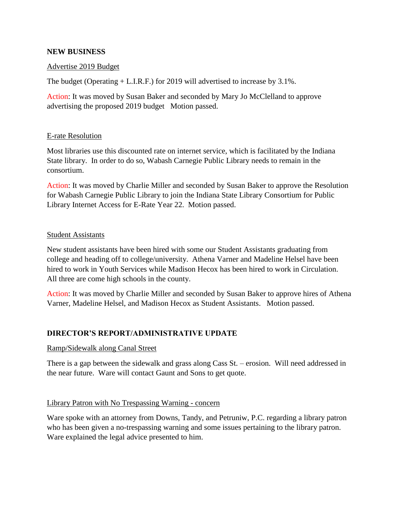## **NEW BUSINESS**

### Advertise 2019 Budget

The budget (Operating + L.I.R.F.) for 2019 will advertised to increase by 3.1%.

Action: It was moved by Susan Baker and seconded by Mary Jo McClelland to approve advertising the proposed 2019 budget Motion passed.

#### E-rate Resolution

Most libraries use this discounted rate on internet service, which is facilitated by the Indiana State library. In order to do so, Wabash Carnegie Public Library needs to remain in the consortium.

Action: It was moved by Charlie Miller and seconded by Susan Baker to approve the Resolution for Wabash Carnegie Public Library to join the Indiana State Library Consortium for Public Library Internet Access for E-Rate Year 22. Motion passed.

#### Student Assistants

New student assistants have been hired with some our Student Assistants graduating from college and heading off to college/university. Athena Varner and Madeline Helsel have been hired to work in Youth Services while Madison Hecox has been hired to work in Circulation. All three are come high schools in the county.

Action: It was moved by Charlie Miller and seconded by Susan Baker to approve hires of Athena Varner, Madeline Helsel, and Madison Hecox as Student Assistants. Motion passed.

### **DIRECTOR'S REPORT/ADMINISTRATIVE UPDATE**

### Ramp/Sidewalk along Canal Street

There is a gap between the sidewalk and grass along Cass St. – erosion. Will need addressed in the near future. Ware will contact Gaunt and Sons to get quote.

### Library Patron with No Trespassing Warning - concern

Ware spoke with an attorney from Downs, Tandy, and Petruniw, P.C. regarding a library patron who has been given a no-trespassing warning and some issues pertaining to the library patron. Ware explained the legal advice presented to him.